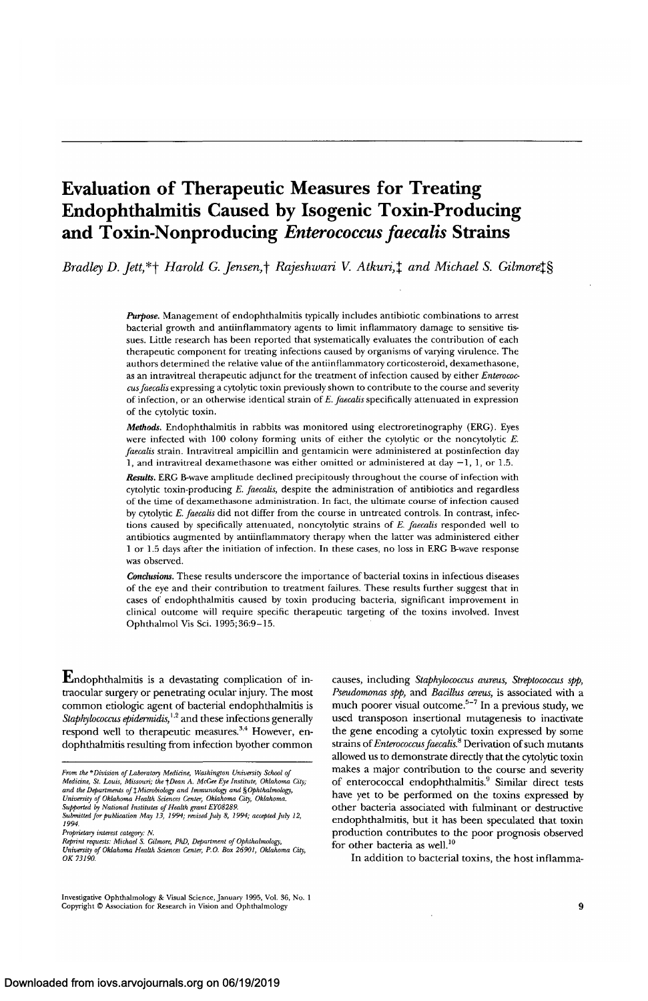# **Evaluation of Therapeutic Measures for Treating Endophthalmitis Caused by Isogenic Toxin-Producing and Toxin-Nonproducing** *Enterococcus faecalis* **Strains**

*Bradley D. Jett,\**+ *Harold G. Jensen,*† *Rajeshwari V. Atkuri,<sup>†</sup> and Michael S. Gilmore<sup>†</sup>§* 

*Purpose.* Management of endophthalmitis typically includes antibiotic combinations to arrest bacterial growth and antiinflammatory agents to limit inflammatory damage to sensitive tissues. Little research has been reported that systematically evaluates the contribution of each therapeutic component for treating infections caused by organisms of varying virulence. The authors determined the relative value of the antiinflammatory corticosteroid, dexamethasone, as an intravitreal therapeutic adjunct for the treatment of infection caused by either *Enterococcus faecalis* expressing a cytolytic toxin previously shown to contribute to the course and severity of infection, or an otherwise identical strain of *E. faecalis* specifically attenuated in expression of the cytolytic toxin.

*Methods.* Endophthalmitis in rabbits was monitored using electroretinography (ERG). Eyes were infected with 100 colony forming units of either the cytolytic or the noncytolytic *E. faecalis* strain. Intravitreal ampicillin and gentamicin were administered at postinfection day 1, and intravitreal dexamethasone was either omitted or administered at day  $-1$ , 1, or 1.5.

*Results.* ERG B-wave amplitude declined precipitously throughout the course of infection with cytolytic toxin-producing *E. faecalis,* despite the administration of antibiotics and regardless of the time of dexamethasone administration. In fact, the ultimate course of infection caused by cytolytic *E. faecalis* did not differ from the course in untreated controls. In contrast, infections caused by specifically attenuated, noncytolytic strains of *E. faecalis* responded well to antibiotics augmented by antiinflammatory therapy when the latter was administered either 1 or 1.5 days after the initiation of infection. In these cases, no loss in ERG B-wave response was observed.

*Conclusions.* These results underscore the importance of bacterial toxins in infectious diseases of the eye and their contribution to treatment failures. These results further suggest that in cases of endophthalmitis caused by toxin producing bacteria, significant improvement in clinical outcome will require specific therapeutic targeting of the toxins involved. Invest Ophthalmol Vis Sci. 1995;36:9-15.

 $\mathbf E$ ndophthalmitis is a devastating complication of intraocular surgery or penetrating ocular injury. The most common etiologic agent of bacterial endophthalmitis is *Staphylococcus epidermidis,<sup>1</sup> ' 2* and these infections generally respond well to therapeutic measures.<sup>3,4</sup> However, endophthalmitis resulting from infection byother common

causes, including *Staphylococcus aureus, Streptococcus spp, Pseudomonas spp,* and *Bacillus cereus,* is associated with a much poorer visual outcome.<sup>5-7</sup> In a previous study, we used transposon insertional mutagenesis to inactivate the gene encoding a cytolytic toxin expressed by some strains *of Enterococcus faecalis.8* Derivation of such mutants allowed us to demonstrate directly that the cytolytic toxin makes a major contribution to the course and severity of enterococcal endophthalmitis.<sup>9</sup> Similar direct tests have yet to be performed on the toxins expressed by other bacteria associated with fulminant or destructive endophthalmitis, but it has been speculated that toxin production contributes to the poor prognosis observed for other bacteria as well.<sup>10</sup>

In addition to bacterial toxins, the host inflamma-

*From the \*Division of Laboratory Medicine, Washington University School of Medicine, St. Louis, Missouri; the -\Dean A. McGee Eye Institute, Oklahoma City;* and the Departments of ‡Microbiology and Immunology and §Ophthalmology,<br>University of Oklahoma Health Sciences Center, Oklahoma City, Oklahoma. *Supported by National Institutes of Health grant EY08289. Submitted for publication May 13, 1994; revised July 8, 1994; acceptedjuly 12,*

*<sup>1994.</sup> Proprietary interest category: N. Reprint requests: Michael S. Gilmore, PhD, Department of Ophthalmology,*

*University of Oklahoma Health Sciences Center, P.O. Box 26901, Oklahoma City, OK 13190.*

Investigative Ophthalmology & Visual Science, January 1995, Vol. 36, No. 1 Copyright © Association for Research in Vision and Ophthalmology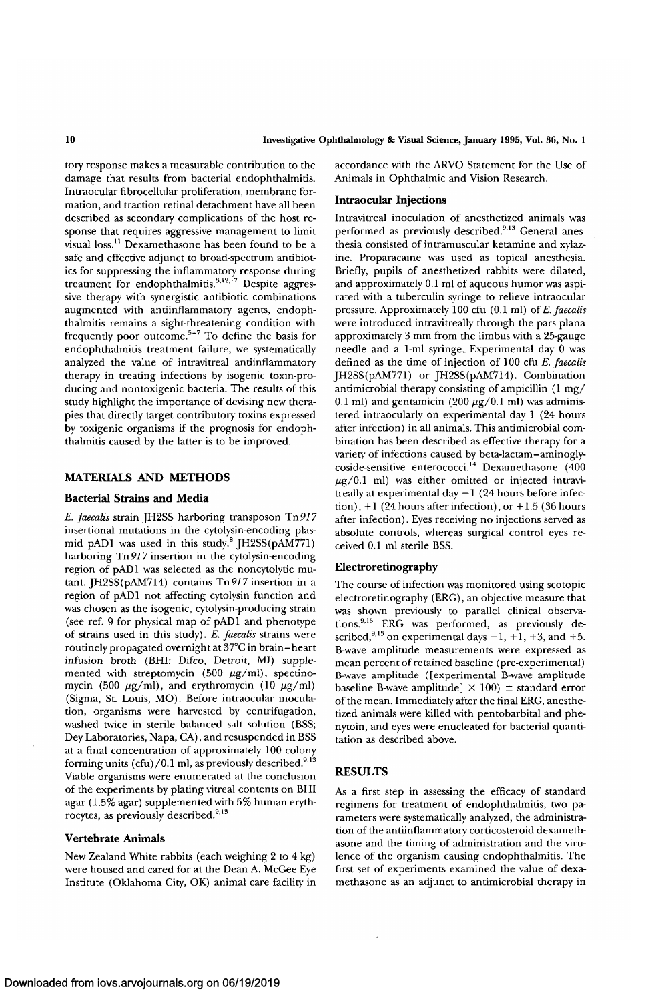tory response makes a measurable contribution to the damage that results from bacterial endophthalmitis. Intraocular fibrocellular proliferation, membrane formation, and traction retinal detachment have all been described as secondary complications of the host response that requires aggressive management to limit visual loss.11 Dexamethasone has been found to be a safe and effective adjunct to broad-spectrum antibiotics for suppressing the inflammatory response during treatment for endophthalmitis. $3,12,17$  Despite aggressive therapy with synergistic antibiotic combinations augmented with antiinflammatory agents, endophthalmitis remains a sight-threatening condition with  $\frac{1}{2}$  frequently poor outcome.<sup>5-7</sup> To define the basis for endophthalmitis treatment failure, we systematically analyzed the value of intravitreal antiinflammatory therapy in treating infections by isogenic toxin-producing and nontoxigenic bacteria. The results of this study highlight the importance of devising new therapies that directly target contributory toxins expressed by toxigenic organisms if the prognosis for endophthalmitis caused by the latter is to be improved.

## **MATERIALS AND METHODS**

### **Bacterial Strains and Media**

*E. faecalis* strain JH2SS harboring transposon Tn977 insertional mutations in the cytolysin-encoding plasmid pAD1 was used in this study.<sup>8</sup> JH2SS(pAM771) harboring *Tn91*7 insertion in the cytolysin-encoding region of pADl was selected as the noncytolytic mutant. JH2SS( $pAM714$ ) contains  $Tn917$  insertion in a region of pADl not affecting cytolysin function and was chosen as the isogenic, cytolysin-producing strain (see ref. 9 for physical map of pADl and phenotype of strains used in this study). *E. faecalis* strains were routinely propagated overnight at 37°C in brain-heart infusion broth (BHI; Difco, Detroit, MI) supplemented with streptomycin (500  $\mu$ g/ml), spectinomycin (500  $\mu$ g/ml), and erythromycin (10  $\mu$ g/ml) (Sigma, St. Louis, MO). Before intraocular inoculation, organisms were harvested by centrifugation, washed twice in sterile balanced salt solution (BSS; Dey Laboratories, Napa, GA), and resuspended in BSS at a final concentration of approximately 100 colony forming units (cfu)/0.1 ml, as previously described.<sup>9,13</sup> Viable organisms were enumerated at the conclusion of the experiments by plating vitreal contents on BHI agar (1.5% agar) supplemented with 5% human erythrocytes, as previously described.<sup>9,13</sup>

## **Vertebrate Animals**

New Zealand White rabbits (each weighing 2 to 4 kg) were housed and cared for at the Dean A. McGee Eye Institute (Oklahoma City, OK) animal care facility in accordance with the ARVO Statement for the Use of Animals in Ophthalmic and Vision Research.

## **Intraocular Injections**

Intravitreal inoculation of anesthetized animals was performed as previously described.<sup>9,13</sup> General anesthesia consisted of intramuscular ketamine and xylazine. Proparacaine was used as topical anesthesia. Briefly, pupils of anesthetized rabbits were dilated, and approximately 0.1 ml of aqueous humor was aspirated with a tuberculin syringe to relieve intraocular pressure. Approximately 100 cfu (0.1 ml) of *E. faecalis* were introduced intravitreally through the pars plana approximately 3 mm from the limbus with a 25-gauge needle and a 1-ml syringe. Experimental day 0 was defined as the time of injection of 100 cfu *E. faecalis* JH2SS(pAM77l) or JH2SS(pAM7l4). Combination antimicrobial therapy consisting of ampicillin (1 mg/ 0.1 ml) and gentamicin (200  $\mu$ g/0.1 ml) was administered intraocularly on experimental day 1 (24 hours after infection) in all animals. This antimicrobial combination has been described as effective therapy for a variety of infections caused by beta-lactam-aminoglyvariety of infections caused by beta factum animogry.  $\mu$ g/0.1 ml) was either omitted or injected intravitreally at experimental day  $-1$  (24 hours before infection),  $+1$  (24 hours after infection), or  $+1.5$  (36 hours after infection). Eyes receiving no injections served as absolute controls, whereas surgical control eyes received 0.1 ml sterile BSS.

## **Electroretinography**

The course of infection was monitored using scotopic electroretinography (ERG), an objective measure that was shown previously to parallel clinical observations.<sup>913</sup> ERG was performed, as previously described,  $9,13$  on experimental days  $-1$ ,  $+1$ ,  $+3$ , and  $+5$ . B-wave amplitude measurements were expressed as mean percent of retained baseline (pre-experimental) B-wave amplitude ([experimental B-wave amplitude baseline B-wave amplitude]  $\times$  100)  $\pm$  standard error of the mean. Immediately after the final ERG, anesthetized animals were killed with pentobarbital and phenytoin, and eyes were enucleated for bacterial quantitation as described above.

## **RESULTS**

As a first step in assessing the efficacy of standard regimens for treatment of endophthalmitis, two parameters were systematically analyzed, the administration of the antiinflammatory corticosteroid dexamethasone and the timing of administration and the virulence of the organism causing endophthalmitis. The first set of experiments examined the value of dexamethasone as an adjunct to antimicrobial therapy in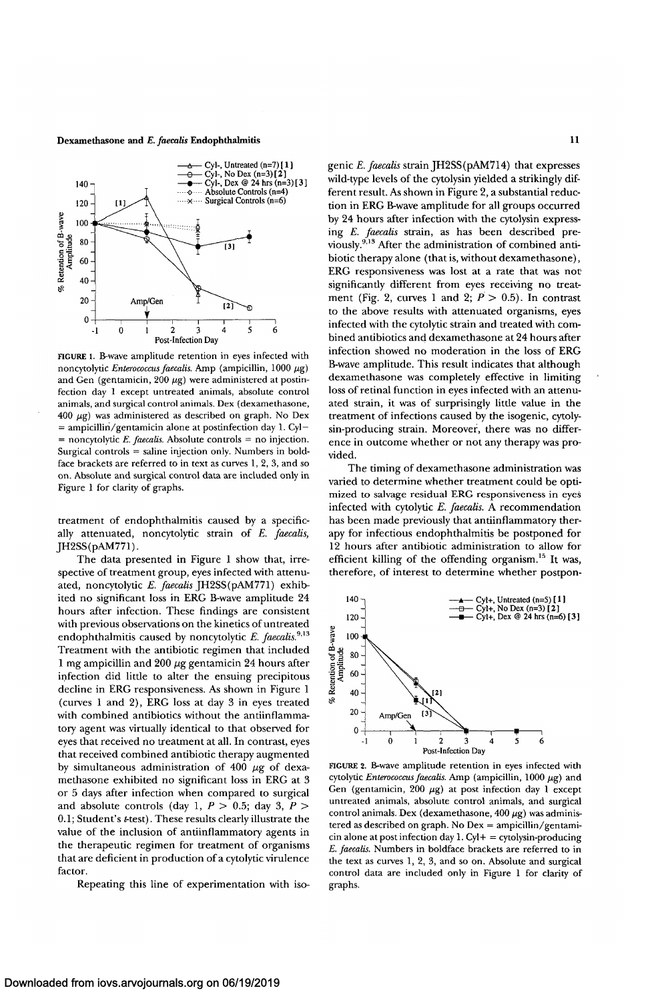#### Dexamethasone and *E. faecalis* Endophthalmitis 11



FIGURE 1. B-wave amplitude retention in eyes infected with noncytolytic *Enterococcus faecalis.* Amp (ampicillin, 1000 *fig)* and Gen (gentamicin,  $200 \mu g$ ) were administered at postinfection day 1 except untreated animals, absolute control animals, and surgical control animals. Dex (dexamethasone,  $400 \mu g$ ) was administered as described on graph. No Dex  $=$  ampicillin/gentamicin alone at postinfection day 1. Cyl-= noncytolytic *E. faecalis.* Absolute controls = no injection. Surgical controls = saline injection only. Numbers in boldface brackets are referred to in text as curves 1, 2, 3, and so on. Absolute and surgical control data are included only in Figure 1 for clarity of graphs.

treatment of endophthalmitis caused by a specifically attenuated, noncytolytic strain of *E. faecalis,* JH2SS(pAM77l).

The data presented in Figure 1 show that, irrespective of treatment group, eyes infected with attenuated, noncytolytic *E. faecalis* JH2SS(pAM771) exhibited no significant loss in ERG B-wave amplitude 24 hours after infection. These findings are consistent with previous observations on the kinetics of untreated endophthalmitis caused by noncytolytic E. faecalis.<sup>9,13</sup> Treatment with the antibiotic regimen that included 1 mg ampicillin and 200 µg gentamicin 24 hours after infection did little to alter the ensuing precipitous decline in ERG responsiveness. As shown in Figure 1 (curves 1 and 2), ERG loss at day 3 in eyes treated with combined antibiotics without the antiinflammatory agent was virtually identical to that observed for eyes that received no treatment at all. In contrast, eyes that received combined antibiotic therapy augmented by simultaneous administration of 400  $\mu$ g of dexamethasone exhibited no significant loss in ERG at 3 or 5 days after infection when compared to surgical and absolute controls (day 1, *P >* 0.5; day 3, *P >* 0.1; Student's *t-test).* These results clearly illustrate the value of the inclusion of antiinflammatory agents in the therapeutic regimen for treatment of organisms that are deficient in production of a cytolytic virulence factor.

Repeating this line of experimentation with iso-

genic *E. faecalis* strain JH2SS(pAM714) that expresses wild-type levels of the cytolysin yielded a strikingly different result. As shown in Figure 2, a substantial reduction in ERG B-wave amplitude for all groups occurred by 24 hours after infection with the cytolysin expressing *E. faecalis* strain, as has been described previously.<sup>9,13</sup> After the administration of combined antibiotic therapy alone (that is, without dexamethasone), ERG responsiveness was lost at a rate that was not significantly different from eyes receiving no treatment (Fig. 2, curves 1 and 2;  $P > 0.5$ ). In contrast to the above results with attenuated organisms, eyes infected with the cytolytic strain and treated with combined antibiotics and dexamethasone at 24 hours after infection showed no moderation in the loss of ERG B-wave amplitude. This result indicates that although dexamethasone was completely effective in limiting loss of retinal function in eyes infected with an attenuated strain, it was of surprisingly litde value in the treatment of infections caused by the isogenic, cytolysin-producing strain. Moreover, there was no difference in outcome whether or not any therapy was provided.

The timing of dexamethasone administration was varied to determine whether treatment could be optimized to salvage residual ERG responsiveness in eyes infected with cytolytic *E. faecalis.* A recommendation has been made previously that antiinflammatory therapy for infectious endophthalmitis be postponed for 12 hours after antibiotic administration to allow for efficient killing of the offending organism.<sup>15</sup> It was, therefore, of interest to determine whether postpon-



FIGURE 2. B-wave amplitude retention in eyes infected with cytolytic *Enterococcus faecalis*. Amp (ampicillin,  $1000 \mu g$ ) and Gen (gentamicin, 200  $\mu$ g) at post infection day 1 except untreated animals, absolute control animals, and surgical control animals. Dex (dexamethasone, 400  $\mu$ g) was administered as described on graph. No Dex = ampicillin/gentamicin alone at post infection day  $1$ . Cyl + = cytolysin-producing *E. faecalis.* Numbers in boldface brackets are referred to in the text as curves 1, 2, 3, and so on. Absolute and surgical control data are included only in Figure 1 for clarity of graphs.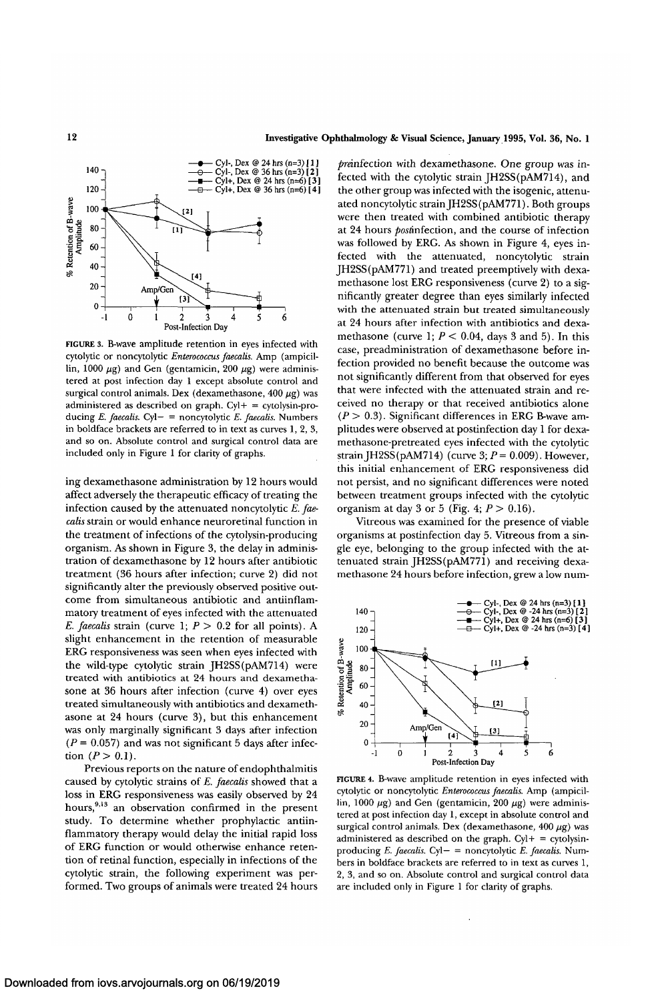

FIGURE 3. B-wave amplitude retention in eyes infected with cytolytic or noncytolytic *Enterococcus faecalis.* Amp (ampicillin, 1000  $\mu$ g) and Gen (gentamicin, 200  $\mu$ g) were administered at post infection day 1 except absolute control and surgical control animals. Dex (dexamethasone, 400  $\mu$ g) was administered as described on graph.  $Cyl + = cyt$ olysin-producing *E. faecalis.* Cyl— = noncytolytic *E. faecalis.* Numbers in boldface brackets are referred to in text as curves 1, 2, 3, and so on. Absolute control and surgical control data are included only in Figure 1 for clarity of graphs.

ing dexamethasone administration by 12 hours would affect adversely the therapeutic efficacy of treating the infection caused by the attenuated noncytolytic *E. faecalis* strain or would enhance neuroretinal function in the treatment of infections of the cytolysin-producing organism. As shown in Figure 3, the delay in administration of dexamethasone by 12 hours after antibiotic treatment (36 hours after infection; curve 2) did not significantly alter the previously observed positive outcome from simultaneous antibiotic and antiinflammatory treatment of eyes infected with the attenuated *E. faecalis* strain (curve 1;  $P > 0.2$  for all points). A slight enhancement in the retention of measurable ERG responsiveness was seen when eyes infected with the wild-type cytolytic strain JH2SS(pAM714) were treated with antibiotics at 24 hours and dexamethasone at 36 hours after infection (curve 4) over eyes treated simultaneously with antibiotics and dexamethasone at 24 hours (curve 3), but this enhancement was only marginally significant 3 days after infection  $(P = 0.057)$  and was not significant 5 days after infection  $(P > 0.1)$ .

Previous reports on the nature of endophthalmitis caused by cytolytic strains of *E. faecalis* showed that a loss in ERG responsiveness was easily observed by 24 hours,<sup>9,13</sup> an observation confirmed in the present study. To determine whether prophylactic antiinflammatory therapy would delay the initial rapid loss of ERG function or would otherwise enhance retention of retinal function, especially in infections of the cytolytic strain, the following experiment was performed. Two groups of animals were treated 24 hours

pranfection with dexamethasone. One group was infected with the cytolytic strain JH2SS(pAM7l4), and the other group was infected with the isogenic, attenuated noncytolytic strain IH2SS(pAM771). Both groups were then treated with combined antibiotic therapy at 24 hours *post*infection, and the course of infection was followed by ERG. As shown in Figure 4, eyes infected with the attenuated, noncytolytic strain JH2SS(pAM771) and treated preemptively with dexamethasone lost ERG responsiveness (curve 2) to a significantly greater degree than eyes similarly infected with the attenuated strain but treated simultaneously at 24 hours after infection with antibiotics and dexamethasone (curve 1;  $P < 0.04$ , days 3 and 5). In this case, preadministration of dexamethasone before infection provided no benefit because the outcome was not significantly different from that observed for eyes that were infected with the attenuated strain and received no therapy or that received antibiotics alone  $(P > 0.3)$ . Significant differences in ERG B-wave amplitudes were observed at postinfection day 1 for dexamethasone-pretreated eyes infected with the cytolytic strainJH2SS(pAM714) (curve 3; *P=* 0.009). However, this initial enhancement of ERG responsiveness did not persist, and no significant differences were noted between treatment groups infected with the cytolytic organism at day 3 or 5 (Fig. 4; *P >* 0.16).

Vitreous was examined for the presence of viable organisms at postinfection day 5. Vitreous from a single eye, belonging to the group infected with the attenuated strain JH2SS(pAM771) and receiving dexamethasone 24 hours before infection, grew a low num-



FIGURE 4. B-wave amplitude retention in eyes infected with cytolytic or noncytolytic *Enterococcus faecalis.* Amp (ampicillin, 1000  $\mu$ g) and Gen (gentamicin, 200  $\mu$ g) were administered at post infection day 1, except in absolute control and surgical control animals. Dex (dexamethasone, 400  $\mu$ g) was administered as described on the graph.  $Cyl + = cytolysin$ producing *E. faecalis.* Cyl— = noncytolytic *E. faecalis.* Numbers in boldface brackets are referred to in text as curves 1, 2, 3, and so on. Absolute control and surgical control data are included only in Figure 1 for clarity of graphs.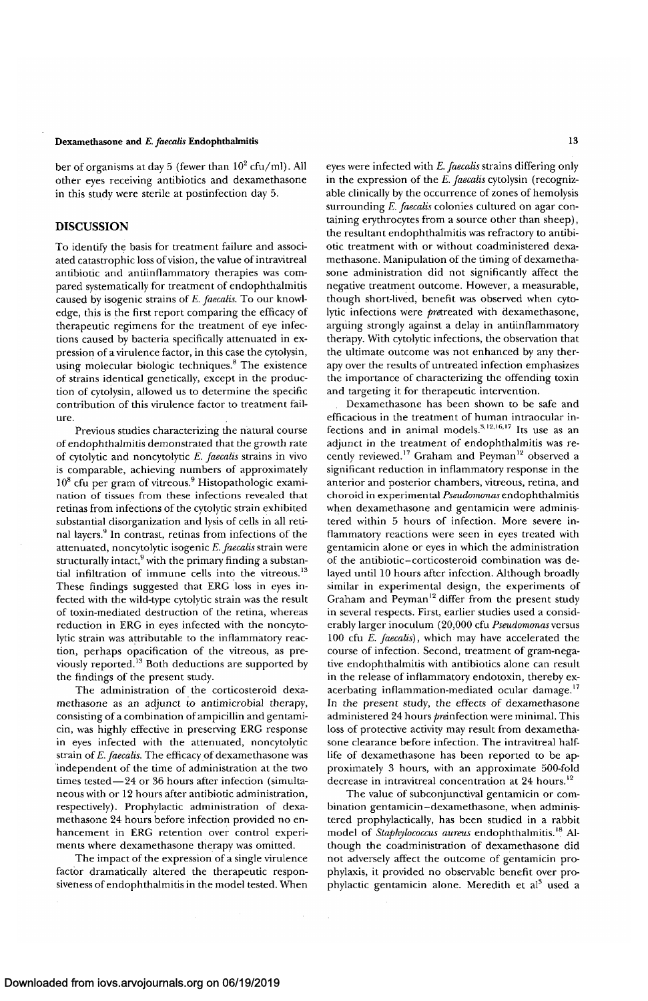## Dexamethasone **and** *E. faecalis* **Endophthalmitis 13**

ber of organisms at day 5 (fewer than  $10^2$  cfu/ml). All other eyes receiving antibiotics and dexamethasone in this study were sterile at postinfection day 5.

## **DISCUSSION**

To identify the basis for treatment failure and associated catastrophic loss of vision, the value of intravitreal antibiotic and antiinflammatory therapies was compared systematically for treatment of endophthalmitis caused by isogenic strains of *E. faecalis.* To our knowledge, this is the first report comparing the efficacy of therapeutic regimens for the treatment of eye infections caused by bacteria specifically attenuated in expression of a virulence factor, in this case the cytolysin, using molecular biologic techniques.<sup>8</sup> The existence of strains identical genetically, except in the production of cytolysin, allowed us to determine the specific contribution of this virulence factor to treatment failure.

Previous studies characterizing the natural course of endophthalmitis demonstrated that the growth rate of cytolytic and noncytolytic *E. faecalis* strains in vivo is comparable, achieving numbers of approximately 10<sup>8</sup> cfu per gram of vitreous.<sup>9</sup> Histopathologic examination of tissues from these infections revealed that retinas from infections of the cytolytic strain exhibited substantial disorganization and lysis of cells in all retinal layers.9 In contrast, retinas from infections of the attenuated, noncytolytic isogenic *E. faecalis* strain were structurally intact, $9$  with the primary finding a substantial infiltration of immune cells into the vitreous.<sup>13</sup> These findings suggested that ERG loss in eyes infected with the wild-type cytolytic strain was the result of toxin-mediated destruction of the retina, whereas reduction in ERG in eyes infected with the noncytolytic strain was attributable to the inflammatory reaction, perhaps opacification of the vitreous, as previously reported.<sup>13</sup> Both deductions are supported by the findings of the present study.

The administration of the corticosteroid dexamethasone as an adjunct to antimicrobial therapy, consisting of a combination of ampicillin and gentamicin, was highly effective in preserving ERG response in eyes infected with the attenuated, noncytolytic strain of *E. faecalis.* The efficacy of dexamethasone was independent of the time of administration at the two times tested—24 or 36 hours after infection (simultaneous with or 12 hours after antibiotic administration, respectively). Prophylactic administration of dexamethasone 24 hours before infection provided no enhancement in ERG retention over control experiments where dexamethasone therapy was omitted.

The impact of the expression of a single virulence factor dramatically altered the therapeutic responsiveness of endophthalmitis in the model tested. When eyes were infected with *E. faecalis* strains differing only in the expression of the *E. faecalis* cytolysin (recognizable clinically by the occurrence of zones of hemolysis surrounding *E. faecalis* colonies cultured on agar containing erythrocytes from a source other than sheep), the resultant endophthalmitis was refractory to antibiotic treatment with or without coadministered dexamethasone. Manipulation of the timing of dexamethasone administration did not significantly affect the negative treatment outcome. However, a measurable, though short-lived, benefit was observed when cytolytic infections were *pre*treated with dexamethasone, arguing strongly against a delay in antiinflammatory therapy. With cytolytic infections, the observation that the ultimate outcome was not enhanced by any therapy over the results of untreated infection emphasizes the importance of characterizing the offending toxin and targeting it for therapeutic intervention.

Dexamethasone has been shown to be safe and efficacious in the treatment of human intraocular infections and in animal models. $3,12,16,17$  Its use as an adjunct in the treatment of endophthalmitis was recently reviewed.<sup>17</sup> Graham and Peyman<sup>12</sup> observed a significant reduction in inflammatory response in the anterior and posterior chambers, vitreous, retina, and choroid in experimental *Pseiidomonas*endophthalmitis when dexamethasone and gentamicin were administered within 5 hours of infection. More severe inflammatory reactions were seen in eyes treated with gentamicin alone or eyes in which the administration of the antibiotic-corticosteroid combination was delayed until 10 hours after infection. Although broadly similar in experimental design, the experiments of Graham and Peyman<sup>12</sup> differ from the present study in several respects. First, earlier studies used a considerably larger inoculum (20,000 cfu *Pseudomonas* versus 100 cfu *E. faecalis),* which may have accelerated the course of infection. Second, treatment of gram-negative endophthalmitis with antibiotics alone can result in the release of inflammatory endotoxin, thereby exacerbating inflammation-mediated ocular damage.<sup>17</sup> In the present study, the effects of dexamethasone administered 24 hours preinfection were minimal. This loss of protective activity may result from dexamethasone clearance before infection. The intravitreal halflife of dexamethasone has been reported to be approximately 3 hours, with an approximate 500-fold decrease in intravitreal concentration at 24 hours.'<sup>2</sup>

The value of subconjunctival gentamicin or combination gentamicin-dexamethasone, when administered prophylactically, has been studied in a rabbit model of *Staphylococcus aureus* endophthalmitis.'<sup>8</sup> Although the coadministration of dexamethasone did not adversely affect the outcome of gentamicin prophylaxis, it provided no observable benefit over prophylactic gentamicin alone. Meredith et al<sup>3</sup> used a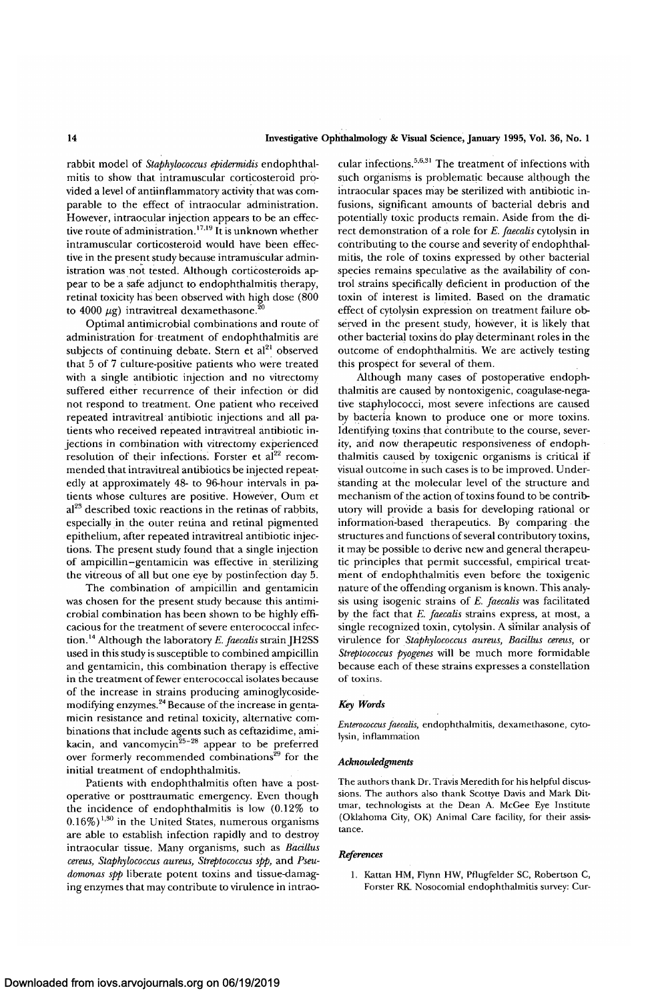rabbit model of *Staphylococcus epidermidis* endophthalmitis to show that intramuscular corticosteroid provided a level of antiinflammatory activity that was comparable to the effect of intraocular administration. However, intraocular injection appears to be an effective route of administration.<sup>17,19</sup> It is unknown whether intramuscular corticosteroid would have been effective in the present study because intramuscular administration was not tested. Although corticosteroids appear to be a safe adjunct to endophthalmitis therapy, retinal toxicity has been observed with high dose (800 to 4000  $\mu$ g) intravitreal dexamethasone.<sup>20</sup>

Optimal antimicrobial combinations and route of administration for treatment of endophthalmitis are subjects of continuing debate. Stern  $\det^{-1}$  observed that 5 of 7 culture-positive patients who were treated with a single antibiotic injection and no vitrectomy suffered either recurrence of their infection or did not respond to treatment. One patient who received repeated intravitreal antibiotic injections and all patients who received repeated intravitreal antibiotic injections in combination with vitrectomy experienced resolution of their infections. Forster et al<sup>22</sup> recommended that intravitreal antibiotics be injected repeatedly at approximately 48- to 96-hour intervals in patients whose cultures are positive. However, Oum et actus whose cultures are postave. However, Outil et<br>al<sup>23</sup> described toxic reactions in the retinas of rabbits especially in the outer retina and retinal pigmented epithelium, after repeated intravitreal antibiotic injections. The present study found that a single injection of ampicillin-gentamicin was effective in sterilizing the vitreous of all but one eye by postinfection day 5.

The combination of ampicillin and gentamicin was chosen for the present study because this antimicrobial combination has been shown to be highly efficacious for the treatment of severe enterococcal infection.<sup>14</sup> Although the laboratory *E.faecalis* strain JH2SS used in this study is susceptible to combined ampicillin and gentamicin, this combination therapy is effective in the treatment of fewer enterococcal isolates because of the increase in strains producing aminoglycosidemodifying enzymes.<sup>24</sup> Because of the increase in gentamicin resistance and retinal toxicity, alternative combinations that include agents such as ceftazidime, amikacin, and vancomycin<sup>25-28</sup> appear to be preferred over formerly recommended combinations<sup>29</sup> for the initial treatment of endophthalmitis.

Patients with endophthalmitis often have a postoperative or posttraumatic emergency. Even though the incidence of endophthalmitis is low (0.12% to  $(0.16\%)^{1,30}$  in the United States, numerous organisms are able to establish infection rapidly and to destroy intraocular tissue. Many organisms, such as *Bacillus cereus, Staphylococcus aureus, Streptococcus spp,* and *Pseudomonas spp* liberate potent toxins and tissue-damaging enzymes that may contribute to virulence in intrao-

cular infections.<sup>5,6,31</sup> The treatment of infections with such organisms is problematic because although the intraocular spaces may be sterilized with antibiotic infusions, significant amounts of bacterial debris and potentially toxic products remain. Aside from the direct demonstration of a role for *E. faecalis* cytolysin in contributing to the course and severity of endophthalmitis, the role of toxins expressed by other bacterial species remains speculative as the availability of control strains specifically deficient in production of the toxin of interest is limited. Based on the dramatic effect of cytolysin expression on treatment failure observed in the present study, however, it is likely that other bacterial toxins do play determinant roles in the outcome of endophthalmitis. We are actively testing this prospect for several of them.

Although many cases of postoperative endophthalmitis are caused by nontoxigenic, coagulase-negative staphylococci, most severe infections are caused by bacteria known to produce one or more toxins. Identifying toxins that contribute to the course, severity, and now therapeutic responsiveness of endophthalmitis caused by toxigenic organisms is critical if visual outcome in such cases is to be improved. Understanding at the molecular level of the structure and mechanism of the action of toxins found to be contributory will provide a basis for developing rational or information-based therapeutics. By comparing the structures and functions of several contributory toxins, it may be possible to derive new and general therapeutic principles that permit successful, empirical treatment of endophthalmitis even before the toxigenic nature of the offending organism is known. This analysis using isogenic strains of *E. faecalis* was facilitated by the fact that *E. faecalis* strains express, at most, a single recognized toxin, cytolysin. A similar analysis of virulence for *Staphylococcus aureus, Bacillus cereus,* or *Streptococcus pyogenes* will be much more formidable because each of these strains expresses a constellation of toxins.

## *Key Words*

*Enterococcus faecalis,* endophthalmitis, dexamethasone, cytolysin, inflammation

#### *Acknowledgments*

The authors thank Dr. Travis Meredith for his helpful discussions. The authors also thank Scottye Davis and Mark Dittmar, technologists at the Dean A. McGee Eye Institute (Oklahoma City, OK) Animal Care facility, for their assistance.

#### *References*

1. Kattan HM, Flynn HW, Pflugfelder SC, Robertson C, Forster RK. Nosocomial endophthalmitis survey: Cur-